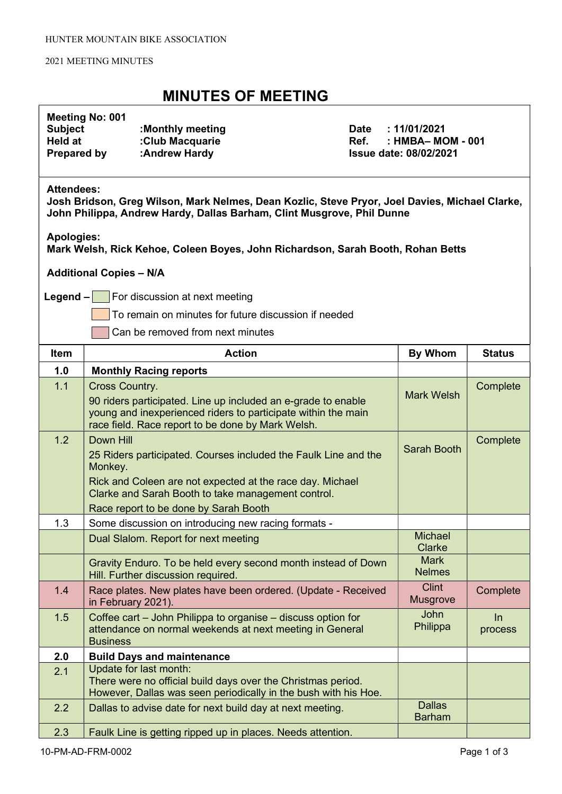#### 2021 MEETING MINUTES

### MINUTES OF MEETING

### Meeting No: 001

| <b>Subject</b>     | :Monthly meeting |
|--------------------|------------------|
| Held at            | :Club Macquarie  |
| <b>Prepared by</b> | :Andrew Hardy    |

Date : 11/01/2021 Ref. : HMBA– MOM - 001 **Issue date: 08/02/2021** 

#### Attendees:

Josh Bridson, Greg Wilson, Mark Nelmes, Dean Kozlic, Steve Pryor, Joel Davies, Michael Clarke, John Philippa, Andrew Hardy, Dallas Barham, Clint Musgrove, Phil Dunne

Apologies:

Mark Welsh, Rick Kehoe, Coleen Boyes, John Richardson, Sarah Booth, Rohan Betts

Additional Copies – N/A

**Legend – For discussion at next meeting** 

To remain on minutes for future discussion if needed

Can be removed from next minutes

| <b>Item</b> | <b>Action</b>                                                                                                                                                                                                                                       | <b>By Whom</b>                  | <b>Status</b>    |
|-------------|-----------------------------------------------------------------------------------------------------------------------------------------------------------------------------------------------------------------------------------------------------|---------------------------------|------------------|
| 1.0         | <b>Monthly Racing reports</b>                                                                                                                                                                                                                       |                                 |                  |
| 1.1         | <b>Cross Country.</b><br>90 riders participated. Line up included an e-grade to enable<br>young and inexperienced riders to participate within the main<br>race field. Race report to be done by Mark Welsh.                                        | <b>Mark Welsh</b>               | Complete         |
| 1.2         | Down Hill<br>25 Riders participated. Courses included the Faulk Line and the<br>Monkey.<br>Rick and Coleen are not expected at the race day. Michael<br>Clarke and Sarah Booth to take management control.<br>Race report to be done by Sarah Booth | Sarah Booth                     | Complete         |
| 1.3         | Some discussion on introducing new racing formats -                                                                                                                                                                                                 |                                 |                  |
|             | Dual Slalom. Report for next meeting                                                                                                                                                                                                                | <b>Michael</b><br><b>Clarke</b> |                  |
|             | Gravity Enduro. To be held every second month instead of Down<br>Hill. Further discussion required.                                                                                                                                                 | <b>Mark</b><br><b>Nelmes</b>    |                  |
| 1.4         | Race plates. New plates have been ordered. (Update - Received<br>in February 2021).                                                                                                                                                                 | <b>Clint</b><br><b>Musgrove</b> | Complete         |
| 1.5         | Coffee cart - John Philippa to organise - discuss option for<br>attendance on normal weekends at next meeting in General<br><b>Business</b>                                                                                                         | <b>John</b><br>Philippa         | $\ln$<br>process |
| 2.0         | <b>Build Days and maintenance</b>                                                                                                                                                                                                                   |                                 |                  |
| 2.1         | Update for last month:<br>There were no official build days over the Christmas period.<br>However, Dallas was seen periodically in the bush with his Hoe.                                                                                           |                                 |                  |
| 2.2         | Dallas to advise date for next build day at next meeting.                                                                                                                                                                                           | <b>Dallas</b><br><b>Barham</b>  |                  |
| 2.3         | Faulk Line is getting ripped up in places. Needs attention.                                                                                                                                                                                         |                                 |                  |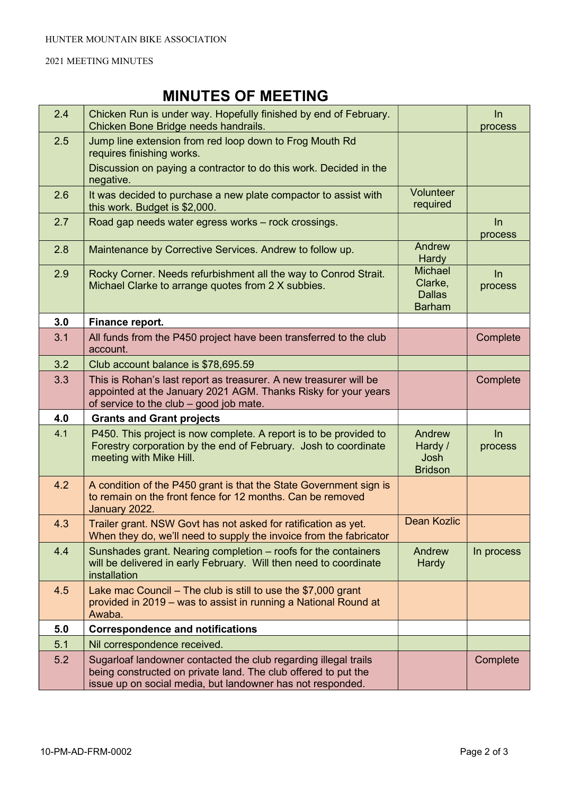#### 2021 MEETING MINUTES

# MINUTES OF MEETING

| 2.4 | Chicken Run is under way. Hopefully finished by end of February.<br>Chicken Bone Bridge needs handrails.                                                                                        |                                                             | ln<br>process    |
|-----|-------------------------------------------------------------------------------------------------------------------------------------------------------------------------------------------------|-------------------------------------------------------------|------------------|
| 2.5 | Jump line extension from red loop down to Frog Mouth Rd<br>requires finishing works.                                                                                                            |                                                             |                  |
|     | Discussion on paying a contractor to do this work. Decided in the<br>negative.                                                                                                                  |                                                             |                  |
| 2.6 | It was decided to purchase a new plate compactor to assist with<br>this work. Budget is \$2,000.                                                                                                | Volunteer<br>required                                       |                  |
| 2.7 | Road gap needs water egress works - rock crossings.                                                                                                                                             |                                                             | $\ln$<br>process |
| 2.8 | Maintenance by Corrective Services. Andrew to follow up.                                                                                                                                        | Andrew<br><b>Hardy</b>                                      |                  |
| 2.9 | Rocky Corner. Needs refurbishment all the way to Conrod Strait.<br>Michael Clarke to arrange quotes from 2 X subbies.                                                                           | <b>Michael</b><br>Clarke,<br><b>Dallas</b><br><b>Barham</b> | ln<br>process    |
| 3.0 | Finance report.                                                                                                                                                                                 |                                                             |                  |
| 3.1 | All funds from the P450 project have been transferred to the club<br>account.                                                                                                                   |                                                             | Complete         |
| 3.2 | Club account balance is \$78,695.59                                                                                                                                                             |                                                             |                  |
| 3.3 | This is Rohan's last report as treasurer. A new treasurer will be<br>appointed at the January 2021 AGM. Thanks Risky for your years<br>of service to the club - good job mate.                  |                                                             | Complete         |
| 4.0 | <b>Grants and Grant projects</b>                                                                                                                                                                |                                                             |                  |
| 4.1 | P450. This project is now complete. A report is to be provided to<br>Forestry corporation by the end of February. Josh to coordinate<br>meeting with Mike Hill.                                 | Andrew<br>Hardy /<br>Josh<br><b>Bridson</b>                 | $\ln$<br>process |
| 4.2 | A condition of the P450 grant is that the State Government sign is<br>to remain on the front fence for 12 months. Can be removed<br>January 2022.                                               |                                                             |                  |
| 4.3 | Trailer grant. NSW Govt has not asked for ratification as yet.<br>When they do, we'll need to supply the invoice from the fabricator                                                            | Dean Kozlic                                                 |                  |
| 4.4 | Sunshades grant. Nearing completion – roofs for the containers<br>will be delivered in early February. Will then need to coordinate<br>installation                                             | Andrew<br><b>Hardy</b>                                      | In process       |
| 4.5 | Lake mac Council - The club is still to use the \$7,000 grant<br>provided in 2019 – was to assist in running a National Round at<br>Awaba.                                                      |                                                             |                  |
| 5.0 | <b>Correspondence and notifications</b>                                                                                                                                                         |                                                             |                  |
| 5.1 | Nil correspondence received.                                                                                                                                                                    |                                                             |                  |
| 5.2 | Sugarloaf landowner contacted the club regarding illegal trails<br>being constructed on private land. The club offered to put the<br>issue up on social media, but landowner has not responded. |                                                             | Complete         |